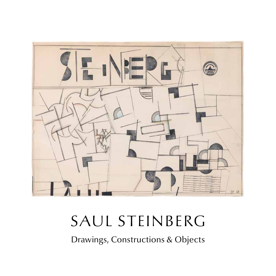

## SAUL STEINBERG

Drawings, Constructions & Objects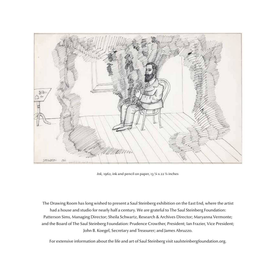

*Ink,* 1962, ink and pencil on paper, 13 ¼ x 22 ½ inches

The Drawing Room has long wished to present a Saul Steinberg exhibition on the East End, where the artist had a house and studio for nearly half a century. We are grateful to The Saul Steinberg Foundation: Patterson Sims, Managing Director; Sheila Schwartz, Research & Archives Director; Maryanna Vermonte; and the Board of The Saul Steinberg Foundation: Prudence Crowther, President; Ian Frazier, Vice President; John B. Koegel, Secretary and Treasurer; and James Abruzzo.

For extensive information about the life and art of Saul Steinberg visit saulsteinbergfoundation.org.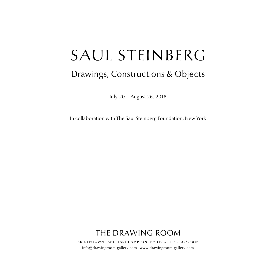# SAUL STEINBERG

## Drawings, Constructions & Objects

July 20 – August 26, 2018

In collaboration with The Saul Steinberg Foundation, New York

## THE DRAWING ROOM

66 newtown lane east hampton ny 11937 t 631 324.5016 info@drawingroom-gallery.com www.drawingroom-gallery.com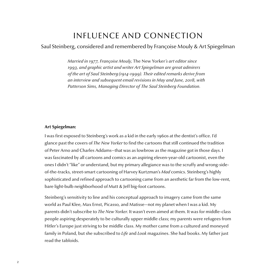### INFLUENCE AND CONNECTION

#### Saul Steinberg, considered and remembered by Françoise Mouly & Art Spiegelman

*Married in 1977, Françoise Mouly,* The New Yorker*'s art editor since 1993, and graphic artist and writer Art Spiegelman are great admirers of the art of Saul Steinberg (1914-1999). Their edited remarks derive from an interview and subsequent email revisions in May and June, 2018, with Patterson Sims, Managing Director of The Saul Steinberg Foundation.*

#### **Art Spiegelman:**

I was first exposed to Steinberg's work as a kid in the early 1960s at the dentist's office. I'd glance past the covers of *The New Yorker* to find the cartoons that still continued the tradition of Peter Arno and Charles Addams—that was as lowbrow as the magazine got in those days. I was fascinated by all cartoons and comics as an aspiring eleven-year-old cartoonist, even the ones I didn't "like" or understand, but my primary allegiance was to the scruffy and wrong-sideof-the-tracks, street-smart cartooning of Harvey Kurtzman's *Mad* comics. Steinberg's highly sophisticated and refined approach to cartooning came from an aesthetic far from the low-rent, bare light-bulb neighborhood of Mutt & Jeff big-foot cartoons.

Steinberg's sensitivity to line and his conceptual approach to imagery came from the same world as Paul Klee, Max Ernst, Picasso, and Matisse—not my planet when I was a kid. My parents didn't subscribe to *The New Yorker*. It wasn't even aimed at them. It was for middle-class people aspiring desperately to be culturally upper middle class; my parents were refugees from Hitler's Europe just striving to be middle class. My mother came from a cultured and moneyed family in Poland, but she subscribed to *Life* and *Look* magazines. She had books. My father just read the tabloids.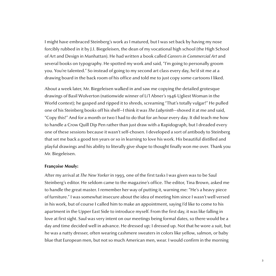I might have embraced Steinberg's work as I matured, but I was set back by having my nose forcibly rubbed in it by J.I. Biegeleisen, the dean of my vocational high school (the High School of Art and Design in Manhattan). He had written a book called *Careers in Commercial Art* and several books on typography. He spotted my work and said, "I'm going to personally groom you. You're talented." So instead of going to my second art class every day, he'd sit me at a drawing board in the back room of his office and told me to just copy some cartoons I liked.

About a week later, Mr. Biegeleisen walked in and saw me copying the detailed grotesque drawings of Basil Wolverton (nationwide winner of Li'l Abner's 1946 Ugliest Woman in the World contest); he gasped and ripped it to shreds, screaming "That's totally vulgar!" He pulled one of his Steinberg books off his shelf—I think it was *The Labyrinth*—shoved it at me and said, "Copy this!" And for a month or two I had to do that for an hour every day. It did teach me how to handle a Crow Quill Dip Pen rather than just draw with a Rapidograph, but I dreaded every one of these sessions because it wasn't self-chosen. I developed a sort of antibody to Steinberg that set me back a good ten years or so in learning to love his work. His beautiful distilled and playful drawings and his ability to literally give shape to thought finally won me over. Thank you Mr. Biegeleisen.

#### **Françoise Mouly:**

After my arrival at *The New Yorker* in 1993, one of the first tasks I was given was to be Saul Steinberg's editor. He seldom came to the magazine's office. The editor, Tina Brown, asked me to handle the great master. I remember her way of putting it, warning me: "He's a heavy piece of furniture." I was somewhat insecure about the idea of meeting him since I wasn't well versed in his work, but of course I called him to make an appointment, saying I'd like to come to his apartment in the Upper East Side to introduce myself. From the first day, it was like falling in love at first sight. Saul was very intent on our meetings being formal dates, so there would be a day and time decided well in advance. He dressed up; I dressed up. Not that he wore a suit, but he was a natty dresser, often wearing cashmere sweaters in colors like yellow, salmon, or baby blue that European men, but not so much American men, wear. I would confirm in the morning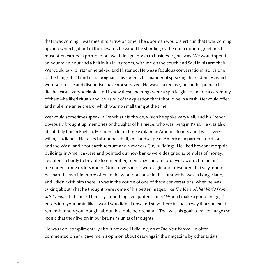that I was coming. I was meant to arrive on time. The doorman would alert him that I was coming up, and when I got out of the elevator, he would be standing by the open door to greet me. I most often carried a portfolio but we didn't get down to business right away. We would spend an hour to an hour and a half in his living room, with me on the couch and Saul in his armchair. We would talk, or rather he talked and I listened. He was a fabulous conversationalist. It's one of the things that I find most poignant: his speech, his manner of speaking, his cadences, which were so precise and distinctive, have not survived. He wasn't a recluse, but at this point in his life, he wasn't very sociable, and I knew these meetings were a special gift. He made a ceremony of them—he liked rituals and it was out of the question that I should be in a rush. He would offer and make me an espresso, which was no small thing at the time.

We would sometimes speak in French at his choice, which he spoke very well, and his French obviously brought up memories or thoughts of his niece, who was living in Paris. He was also absolutely fine in English. He spent a lot of time explaining America to me, and I was a very willing audience. He talked about baseball, the landscape of America, in particular Arizona and the West, and about architecture and New York City buildings. He liked how anamorphic buildings in America were and pointed out how banks were designed as temples of money. I wanted so badly to be able to remember, memorize, and record every word, but he put me under strong orders not to. Our conversations were a gift and presented that way, not to be shared. I met him more often in the winter because in the summer he was in Long Island, and I didn't visit him there. It was in the course of one of these conversations, when he was talking about what he thought were some of his better images, like *The View of the World From 9th Avenue*, that I heard him say something I've quoted since: "When I make a good image, it enters into your brain like a word you didn't know and stays there in such a way that you can't remember how you thought about this topic beforehand." That was his goal: to make images so iconic that they live on in our brains as units of thoughts.

He was very complimentary about how well I did my job at *The New Yorker*. He often commented on and gave me his opinion about drawings in the magazine by other artists.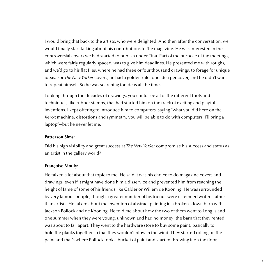I would bring that back to the artists, who were delighted. And then after the conversation, we would finally start talking about his contributions to the magazine. He was interested in the controversial covers we had started to publish under Tina. Part of the purpose of the meetings, which were fairly regularly spaced, was to give him deadlines. He presented me with roughs, and we'd go to his flat files, where he had three or four thousand drawings, to forage for unique ideas. For *The New Yorker* covers, he had a golden rule: one idea per cover, and he didn't want to repeat himself. So he was searching for ideas all the time.

Looking through the decades of drawings, you could see all of the different tools and techniques, like rubber stamps, that had started him on the track of exciting and playful inventions. I kept offering to introduce him to computers, saying "what you did here on the Xerox machine, distortions and symmetry, you will be able to do with computers. I'll bring a laptop"—but he never let me.

#### **Patterson Sims:**

Did his high visibility and great success at *The New Yorker* compromise his success and status as an artist in the gallery world?

#### **Françoise Mouly:**

He talked a lot about that topic to me. He said it was his choice to do magazine covers and drawings, even if it might have done him a disservice and prevented him from reaching the height of fame of some of his friends like Calder or Willem de Kooning. He was surrounded by very famous people, though a greater number of his friends were esteemed writers rather than artists. He talked about the invention of abstract painting in a broken- down barn with Jackson Pollock and de Kooning. He told me about how the two of them went to Long Island one summer when they were young, unknown and had no money: the barn that they rented was about to fall apart. They went to the hardware store to buy some paint, basically to hold the planks together so that they wouldn't blow in the wind. They started rolling on the paint and that's where Pollock took a bucket of paint and started throwing it on the floor,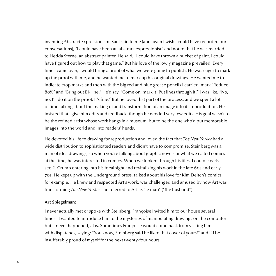inventing Abstract Expressionism. Saul said to me (and again I wish I could have recorded our conversations), "I could have been an abstract expressionist" and noted that he was married to Hedda Sterne, an abstract painter. He said, "I could have thrown a bucket of paint. I could have figured out how to play that game." But his love of the lowly magazine prevailed. Every time I came over, I would bring a proof of what we were going to publish. He was eager to mark up the proof with me, and he wanted me to mark up his original drawings. He wanted me to indicate crop marks and then with the big red and blue grease pencils I carried, mark "Reduce 80%" and "Bring out BK line." He'd say, "Come on, mark it! Put lines through it!" I was like, "No, no, I'll do it on the proof. It's fine." But he loved that part of the process, and we spent a lot of time talking about the making of and transformation of an image into its reproduction. He insisted that I give him edits and feedback, though he needed very few edits. His goal wasn't to be the refined artist whose work hangs in a museum, but to be the one who'd put memorable images into the world and into readers' heads.

He devoted his life to drawing for reproduction and loved the fact that *The New Yorker* had a wide distribution to sophisticated readers and didn't have to compromise. Steinberg was a man of idea drawings, so when you're talking about graphic novels or what we called comics at the time, he was interested in comics. When we looked through his files, I could clearly see R. Crumb entering into his focal sight and revitalizing his work in the late 60s and early 70s. He kept up with the Underground press, talked about his love for Kim Deitch's comics, for example. He knew and respected Art's work, was challenged and amused by how Art was transforming *The New Yorker*—he referred to Art as "le mari" ("the husband").

#### **Art Spiegelman:**

I never actually met or spoke with Steinberg. Françoise invited him to our house several times—I wanted to introduce him to the mysteries of manipulating drawings on the computer but it never happened, alas. Sometimes Françoise would come back from visiting him with dispatches, saying: "You know, Steinberg said he liked that cover of yours!" and I'd be insufferably proud of myself for the next twenty-four hours.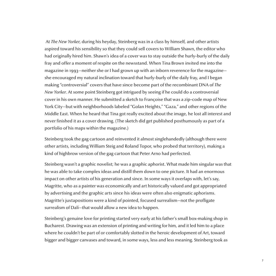At *The New Yorker*, during his heyday, Steinberg was in a class by himself, and other artists aspired toward his sensibility so that they could sell covers to William Shawn, the editor who had originally hired him. Shawn's idea of a cover was to stay outside the hurly-burly of the daily fray and offer a moment of respite on the newsstand. When Tina Brown invited me into the magazine in 1993—neither she or I had grown up with an inborn reverence for the magazine she encouraged my natural inclination toward that hurly-burly of the daily fray, and I began making "controversial" covers that have since become part of the recombinant DNA of *The New Yorker*. At some point Steinberg got intrigued by seeing if he could do a controversial cover in his own manner. He submitted a sketch to Françoise that was a zip-code map of New York City—but with neighborhoods labeled "Golan Heights," "Gaza," and other regions of the Middle East. When he heard that Tina got really excited about the image, he lost all interest and never finished it as a cover drawing. (The sketch did get published posthumously as part of a portfolio of his maps within the magazine.)

Steinberg took the gag cartoon and reinvented it almost singlehandedly (although there were other artists, including William Steig and Roland Topor, who probed that territory), making a kind of highbrow version of the gag cartoon that Peter Arno had perfected.

Steinberg wasn't a graphic novelist; he was a graphic aphorist. What made him singular was that he was able to take complex ideas and distill them down to one picture. It had an enormous impact on other artists of his generation and since. In some ways it overlaps with, let's say, Magritte, who as a painter was economically and art historically valued and got appropriated by advertising and the graphic arts since his ideas were often also enigmatic aphorisms. Magritte's juxtapositions were a kind of pointed, focused surrealism—not the profligate surrealism of Dalí—that would allow a new idea to happen.

Steinberg's genuine love for printing started very early at his father's small box-making shop in Bucharest. Drawing was an extension of printing and writing for him, and it led him to a place where he couldn't be part of or comfortably slotted in the heroic development of Art, toward bigger and bigger canvases and toward, in some ways, less and less meaning. Steinberg took as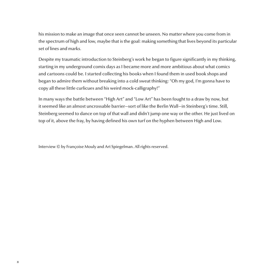his mission to make an image that once seen cannot be unseen. No matter where you come from in the spectrum of high and low, maybe that is the goal: making something that lives beyond its particular set of lines and marks.

Despite my traumatic introduction to Steinberg's work he began to figure significantly in my thinking, starting in my underground comix days as I became more and more ambitious about what comics and cartoons could be. I started collecting his books when I found them in used book shops and began to admire them without breaking into a cold sweat thinking: "Oh my god, I'm gonna have to copy all these little curlicues and his weird mock-calligraphy!"

In many ways the battle between "High Art" and "Low Art" has been fought to a draw by now, but it seemed like an almost uncrossable barrier—sort of like the Berlin Wall—in Steinberg's time. Still, Steinberg seemed to dance on top of that wall and didn't jump one way or the other. He just lived on top of it, above the fray, by having defined his own turf on the hyphen between High and Low.

Interview © by Françoise Mouly and Art Spiegelman. All rights reserved.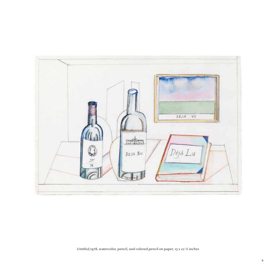

*Untitled,*1978, watercolor, pencil, and colored pencil on paper, 15 x 22 ¼ inches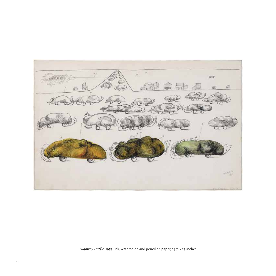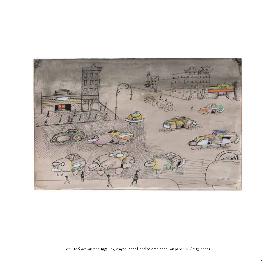

*New York Brownstone,* 1953, ink, crayon, pencil, and colored pencil on paper, 14½ x 23 inches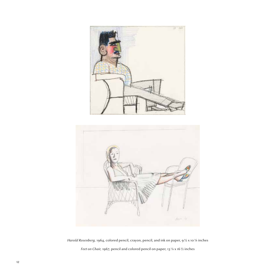



*Harold Rosenberg,* 1964, colored pencil, crayon, pencil, and ink on paper, 9½ x 10¼ inches *Feet on Chair,* 1967, pencil and colored pencil on paper, 13 3/8 x 16½ inches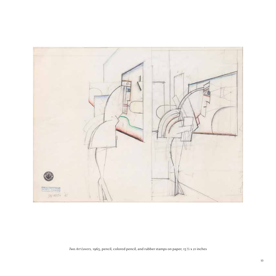

*Two Art Lovers,* 1965, pencil, colored pencil, and rubber stamps on paper, 15½ x 21 inches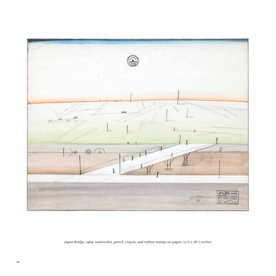

*Japan Bridge,* 1969, watercolor, pencil, crayon, and rubber stamps on paper, 22¼ x 283/8 inches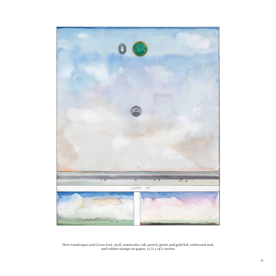

*Three Landscapes and Green Seal,* 1978, watercolor, ink, pencil, green and gold foil, embossed seal, and rubber stamps on paper, 22¾ x 19½ inches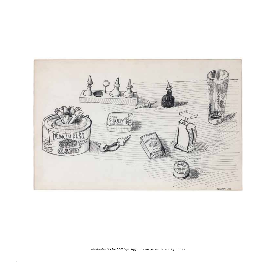

*Medaglia D'Oro Still Life,* 1952, ink on paper, 14½ x 23 inches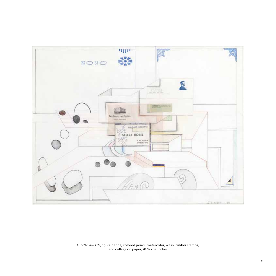

*Lucette Still Life,* 1968, pencil, colored pencil, watercolor, wash, rubber stamps, and collage on paper, 18 3/4 x 25 inches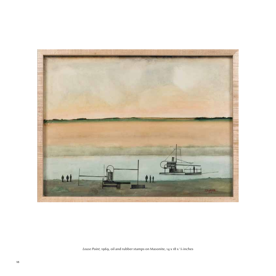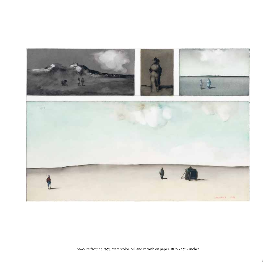

*Four Landscapes, 1*974, watercolor, oil, and varnish on paper, 18 7/8 x 27 5/8 inches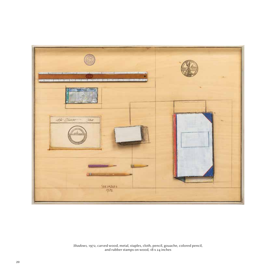

*Shadows,* 1972, carved wood, metal, staples, cloth, pencil, gouache, colored pencil, and rubber stamps on wood, 18 x 24 inches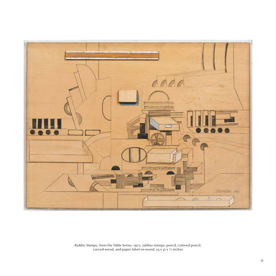

*Rubber Stamps,* from the Table Series, 1972, rubber stamps, pencil, colored pencil, carved wood, and paper label on wood, 23 x 31 x 3/4 inches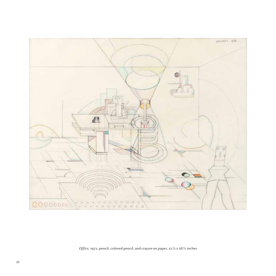

*Office,* 1972, pencil, colored pencil, and crayon on paper, 22½ x 28½ inches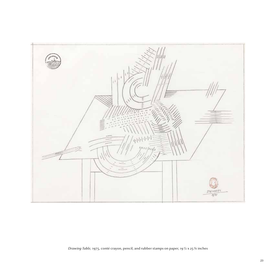

*Drawing Table,* 1975, conté crayon, pencil, and rubber stamps on paper, 19½ x 25¾ inches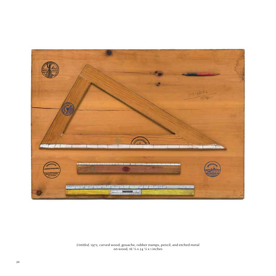

*Untitled,* 1972, carved wood, gouache, rubber stamps, pencil, and etched metal on wood, 16 5/8 x 24 1/8 x 1 inches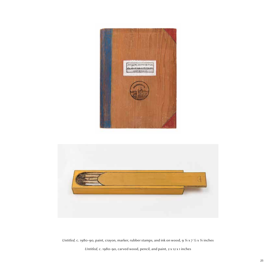



*Untitled,* c. 1980-90, paint, crayon, marker, rubber stamps, and ink on wood, 9  $\frac{3}{4}$  x 7  $\frac{1}{2}$  x  $\frac{3}{4}$  inches

*Untitled,* c. 1980-90, carved wood, pencil, and paint, 2 x 12 x 1 inches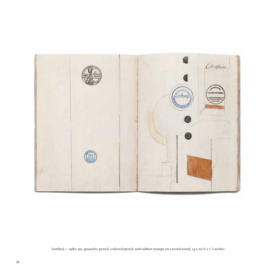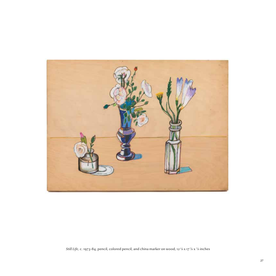

*Still Life,* c. 1973-84, pencil, colored pencil, and china marker on wood, 12 1/8 x 17 7/8 x 7/8 inches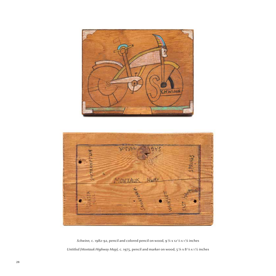



*Untitled (Montauk Highway Map),* c. 1975, pencil and marker on wood, 5¼ x 85/8 x 1½ inches *Schwinn,* c. 1982-92, pencil and colored pencil on wood, 9¼ x 12 1/8 x 1¼ inches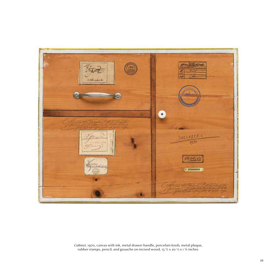

*Cabinet*, 1970, canvas with ink, metal drawer handle, porcelain knob, metal plaque, rubber stamps, pencil, and gouache on incised wood, 15 ½ x 20 1/8 x 1 ¼ inches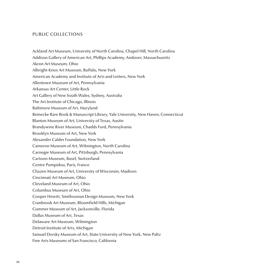#### PUBLIC COLLECTIONS

Ackland Art Museum, University of North Carolina, Chapel Hill, North Carolina Addison Gallery of American Art, Phillips Academy, Andover, Massachusetts Akron Art Museum, Ohio Albright-Knox Art Museum, Buffalo, New York American Academy and Institute of Arts and Letters, New York Allentown Museum of Art, Pennsylvania Arkansas Art Center, Little Rock Art Gallery of New South Wales, Sydney, Australia The Art Institute of Chicago, Illinois Baltimore Museum of Art, Maryland Beinecke Rare Book & Manuscript Library, Yale University, New Haven, Connecticut Blanton Museum of Art, University of Texas, Austin Brandywine River Museum, Chadds Ford, Pennsylvania Brooklyn Museum of Art, New York Alexander Calder Foundation, New York Cameron Museum of Art, Wilmington, North Carolina Carnegie Museum of Art, Pittsburgh, Pennsylvania Cartoon Museum, Basel, Switzerland Centre Pompidou, Paris, France Chazen Museum of Art, University of Wisconsin, Madison Cincinnati Art Museum, Ohio Cleveland Museum of Art, Ohio Columbus Museum of Art, Ohio Cooper Hewitt, Smithsonian Design Museum, New York Cranbrook Art Museum, Bloomfield Hills, Michigan Cummer Museum of Art, Jacksonville, Florida Dallas Museum of Art, Texas Delaware Art Museum, Wilmington Detroit Institute of Arts, Michigan Samuel Dorsky Museum of Art, State University of New York, New Paltz Fine Arts Museums of San Francisco, California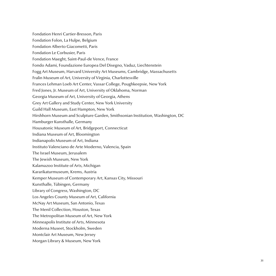Fondation Henri Cartier-Bresson, Paris Fondation Folon, La Hulpe, Belgium Fondation Alberto Giacometti, Paris Fondation Le Corbusier, Paris Fondation Maeght, Saint-Paul-de Vence, France Fondo Adami, Foundazione Europea Del Disegno, Vaduz, Liechtenstein Fogg Art Museum, Harvard University Art Museums, Cambridge, Massachusetts Fralin Museum of Art, University of Virginia, Charlottesville Frances Lehman Loeb Art Center, Vassar College, Poughkeepsie, New York Fred Jones, Jr. Museum of Art, University of Oklahoma, Norman Georgia Museum of Art, University of Georgia, Athens Grey Art Gallery and Study Center, New York University Guild Hall Museum, East Hampton, New York Hirshhorn Museum and Sculpture Garden, Smithsonian Institution, Washington, DC Hamburger Kunsthalle, Germany Housatonic Museum of Art, Bridgeport, Connecticut Indiana Museum of Art, Bloomington Indianapolis Museum of Art, Indiana Instituto Valenciano de Arte Moderno, Valencia, Spain The Israel Museum, Jerusalem The Jewish Museum, New York Kalamazoo Institute of Arts, Michigan Kararikaturmuseum, Krems, Austria Kemper Museum of Contemporary Art, Kansas City, Missouri Kunsthalle, Tübingen, Germany Library of Congress, Washington, DC Los Angeles County Museum of Art, California McNay Art Museum, San Antonio, Texas The Menil Collection, Houston, Texas The Metropolitan Museum of Art, New York Minneapolis Institute of Arts, Minnesota Moderna Museet, Stockholm, Sweden Montclair Art Museum, New Jersey Morgan Library & Museum, New York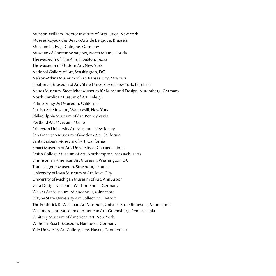Munson-William-Proctor Institute of Arts, Utica, New York Musées Royaux des Beaux-Arts de Belgique, Brussels Museum Ludwig, Cologne, Germany Museum of Contemporary Art, North Miami, Florida The Museum of Fine Arts, Houston, Texas The Museum of Modern Art, New York National Gallery of Art, Washington, DC Nelson-Atkins Museum of Art, Kansas City, Missouri Neuberger Museum of Art, State University of New York, Purchase Neues Museum, Staatliches Museum für Kunst und Design, Nuremberg, Germany North Carolina Museum of Art, Raleigh Palm Springs Art Museum, California Parrish Art Museum, Water Mill, New York Philadelphia Museum of Art, Pennsylvania Portland Art Museum, Maine Princeton University Art Museum, New Jersey San Francisco Museum of Modern Art, California Santa Barbara Museum of Art, California Smart Museum of Art, University of Chicago, Illinois Smith College Museum of Art, Northampton, Massachusetts Smithsonian American Art Museum, Washington, DC Tomi Ungerer Museum, Strasbourg, France University of Iowa Museum of Art, Iowa City University of Michigan Museum of Art, Ann Arbor Vitra Design Museum, Weil am Rhein, Germany Walker Art Museum, Minneapolis, Minnesota Wayne State University Art Collection, Detroit The Frederick R. Weisman Art Museum, University of Minnesota, Minneapolis Westmoreland Museum of American Art, Greensburg, Pennsylvania Whitney Museum of American Art, New York Wilhelm-Busch-Museum, Hannover, Germany Yale University Art Gallery, New Haven, Connecticut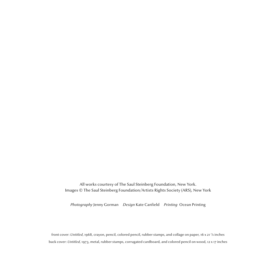All works courtesy of The Saul Steinberg Foundation, New York. Images © The Saul Steinberg Foundation/Artists Rights Society (ARS), New York

*Photography* Jenny Gorman *Design* Kate Canfield *Printing* Ocean Printing

front cover: *Untitled*, 1968, crayon, pencil, colored pencil, rubber stamps, and collage on paper, 16 x 21 7/8 inches back cover: *Untitled*, 1973, metal, rubber stamps, corrugated cardboard, and colored pencil on wood, 12 x 17 inches